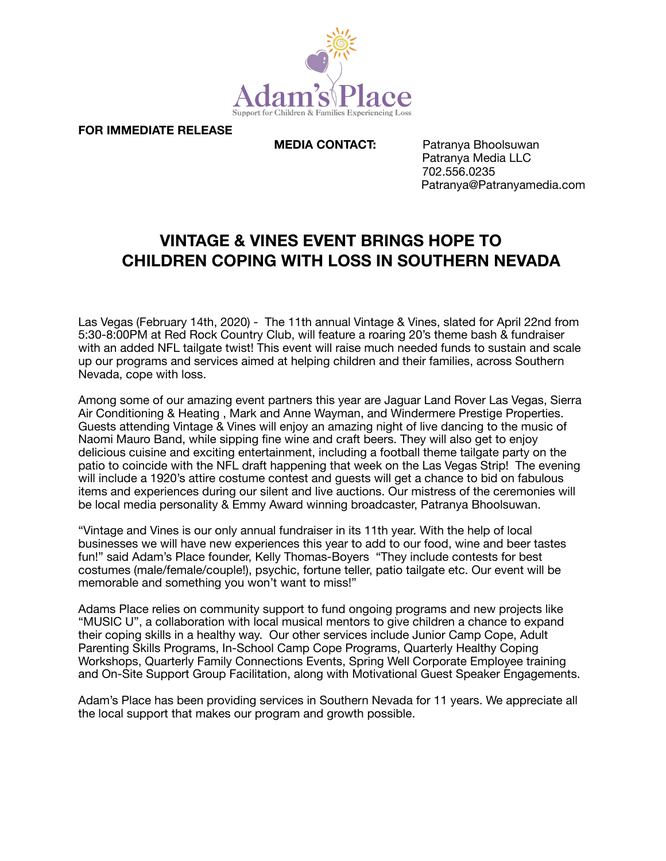

**FOR IMMEDIATE RELEASE** 

**MEDIA CONTACT:** Patranya Bhoolsuwan Patranya Media LLC 702.556.0235 Patranya@Patranyamedia.com

## **VINTAGE & VINES EVENT BRINGS HOPE TO CHILDREN COPING WITH LOSS IN SOUTHERN NEVADA**

Las Vegas (February 14th, 2020) - The 11th annual Vintage & Vines, slated for April 22nd from 5:30-8:00PM at Red Rock Country Club, will feature a roaring 20's theme bash & fundraiser with an added NFL tailgate twist! This event will raise much needed funds to sustain and scale up our programs and services aimed at helping children and their families, across Southern Nevada, cope with loss.

Among some of our amazing event partners this year are Jaguar Land Rover Las Vegas, Sierra Air Conditioning & Heating , Mark and Anne Wayman, and Windermere Prestige Properties. Guests attending Vintage & Vines will enjoy an amazing night of live dancing to the music of Naomi Mauro Band, while sipping fine wine and craft beers. They will also get to enjoy delicious cuisine and exciting entertainment, including a football theme tailgate party on the patio to coincide with the NFL draft happening that week on the Las Vegas Strip! The evening will include a 1920's attire costume contest and guests will get a chance to bid on fabulous items and experiences during our silent and live auctions. Our mistress of the ceremonies will be local media personality & Emmy Award winning broadcaster, Patranya Bhoolsuwan.

"Vintage and Vines is our only annual fundraiser in its 11th year. With the help of local businesses we will have new experiences this year to add to our food, wine and beer tastes fun!" said Adam's Place founder, Kelly Thomas-Boyers "They include contests for best costumes (male/female/couple!), psychic, fortune teller, patio tailgate etc. Our event will be memorable and something you won't want to miss!"

Adams Place relies on community support to fund ongoing programs and new projects like "MUSIC U", a collaboration with local musical mentors to give children a chance to expand their coping skills in a healthy way. Our other services include Junior Camp Cope, Adult Parenting Skills Programs, In-School Camp Cope Programs, Quarterly Healthy Coping Workshops, Quarterly Family Connections Events, Spring Well Corporate Employee training and On-Site Support Group Facilitation, along with Motivational Guest Speaker Engagements.

Adam's Place has been providing services in Southern Nevada for 11 years. We appreciate all the local support that makes our program and growth possible.